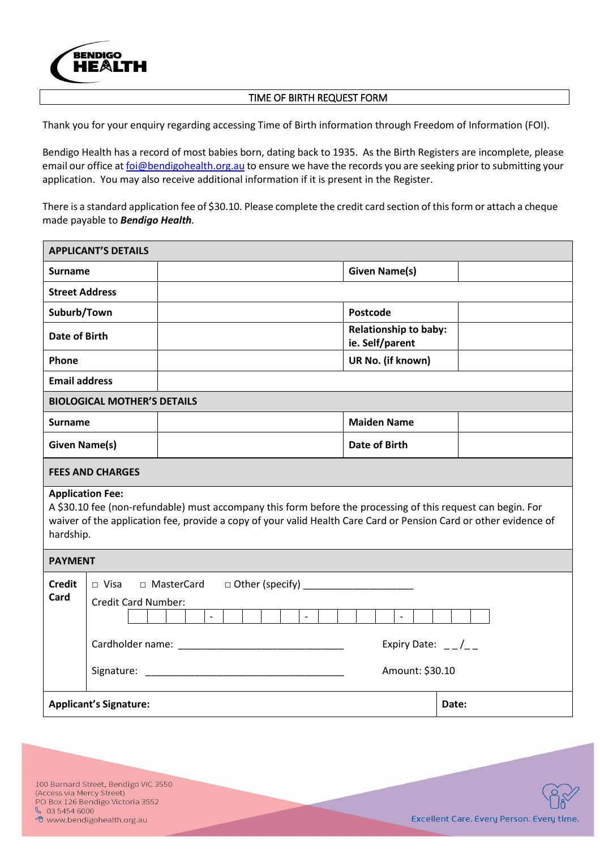

## TIME OF BIRTH REQUEST FORM

Thank you for your enquiry regarding accessing Time of Birth information through Freedom of Information (FOI).

Bendigo Health has a record of most babies born, dating back to 1935. As the Birth Registers are incomplete, please email our office at *foi@bendigohealth.org.au* to ensure we have the records you are seeking prior to submitting your application. You may also receive additional information if it is present in the Register.

There is a standard application fee of \$30.10. Please complete the credit card section of this form or attach a cheque made payable to *Bendigo Health.*

| <b>APPLICANT'S DETAILS</b>                                                                                                                                                                                                                                                |                                                   |                                                                                                                                                   |  |  |  |  |
|---------------------------------------------------------------------------------------------------------------------------------------------------------------------------------------------------------------------------------------------------------------------------|---------------------------------------------------|---------------------------------------------------------------------------------------------------------------------------------------------------|--|--|--|--|
| <b>Surname</b>                                                                                                                                                                                                                                                            |                                                   | <b>Given Name(s)</b>                                                                                                                              |  |  |  |  |
| <b>Street Address</b>                                                                                                                                                                                                                                                     |                                                   |                                                                                                                                                   |  |  |  |  |
| Suburb/Town                                                                                                                                                                                                                                                               |                                                   | Postcode                                                                                                                                          |  |  |  |  |
| Date of Birth                                                                                                                                                                                                                                                             |                                                   | <b>Relationship to baby:</b><br>ie. Self/parent                                                                                                   |  |  |  |  |
| Phone                                                                                                                                                                                                                                                                     |                                                   | UR No. (if known)                                                                                                                                 |  |  |  |  |
| <b>Email address</b>                                                                                                                                                                                                                                                      |                                                   |                                                                                                                                                   |  |  |  |  |
| <b>BIOLOGICAL MOTHER'S DETAILS</b>                                                                                                                                                                                                                                        |                                                   |                                                                                                                                                   |  |  |  |  |
| <b>Surname</b>                                                                                                                                                                                                                                                            |                                                   | <b>Maiden Name</b>                                                                                                                                |  |  |  |  |
| <b>Given Name(s)</b>                                                                                                                                                                                                                                                      |                                                   | <b>Date of Birth</b>                                                                                                                              |  |  |  |  |
| <b>FEES AND CHARGES</b>                                                                                                                                                                                                                                                   |                                                   |                                                                                                                                                   |  |  |  |  |
| <b>Application Fee:</b><br>A \$30.10 fee (non-refundable) must accompany this form before the processing of this request can begin. For<br>waiver of the application fee, provide a copy of your valid Health Care Card or Pension Card or other evidence of<br>hardship. |                                                   |                                                                                                                                                   |  |  |  |  |
| <b>PAYMENT</b>                                                                                                                                                                                                                                                            |                                                   |                                                                                                                                                   |  |  |  |  |
| <b>Credit</b><br>Card                                                                                                                                                                                                                                                     | □ Visa □ MasterCard<br><b>Credit Card Number:</b> | $\Box$ Other (specify)<br>$\overline{\phantom{a}}$<br>$\blacksquare$<br>$\overline{\phantom{a}}$<br>Expiry Date: $_{--}/_{--}$<br>Amount: \$30.10 |  |  |  |  |
|                                                                                                                                                                                                                                                                           | <b>Applicant's Signature:</b>                     | Date:                                                                                                                                             |  |  |  |  |

100 Barnard Street, Bendigo VIC 3550 (Access via Mercy Street) PO Box 126 Bendigo Victoria 3552  $\frac{6}{5}$  03 5454 6000 <sup>•</sup> www.bendigohealth.org.au